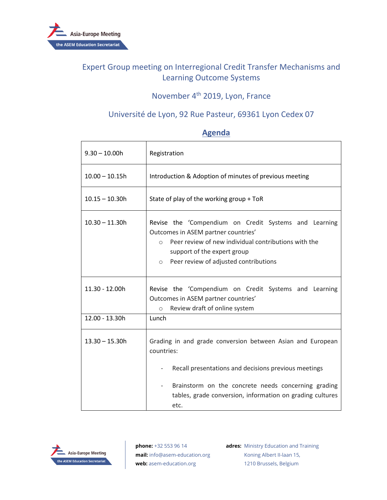

# Expert Group meeting on Interregional Credit Transfer Mechanisms and Learning Outcome Systems

# November 4th 2019, Lyon, France

### Université de Lyon, 92 Rue Pasteur, 69361 Lyon Cedex 07

| $9.30 - 10.00h$  | Registration                                                                                                                                                                                                                                       |
|------------------|----------------------------------------------------------------------------------------------------------------------------------------------------------------------------------------------------------------------------------------------------|
| $10.00 - 10.15h$ | Introduction & Adoption of minutes of previous meeting                                                                                                                                                                                             |
| $10.15 - 10.30h$ | State of play of the working group + ToR                                                                                                                                                                                                           |
| $10.30 - 11.30h$ | Revise the 'Compendium on Credit Systems and Learning<br>Outcomes in ASEM partner countries'<br>Peer review of new individual contributions with the<br>$\circ$<br>support of the expert group<br>Peer review of adjusted contributions<br>$\circ$ |
| 11.30 - 12.00h   | Revise the 'Compendium on Credit Systems and Learning<br>Outcomes in ASEM partner countries'<br>Review draft of online system<br>$\circ$                                                                                                           |
| 12.00 - 13.30h   | Lunch                                                                                                                                                                                                                                              |
| $13.30 - 15.30h$ | Grading in and grade conversion between Asian and European<br>countries:<br>Recall presentations and decisions previous meetings                                                                                                                   |
|                  | Brainstorm on the concrete needs concerning grading<br>tables, grade conversion, information on grading cultures<br>etc.                                                                                                                           |

#### **Agenda**



**phone:** +32 553 96 14 **mail:** info@asem-education.org **web:** asem-education.org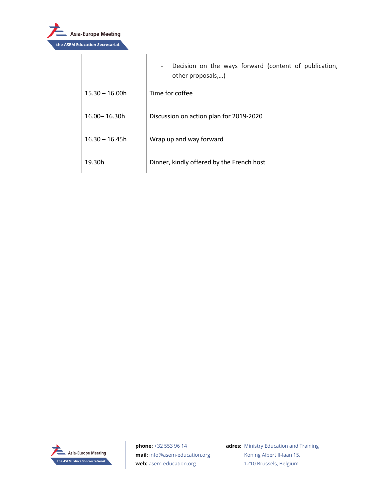

 $\mathbf{r}$ 

|                  | Decision on the ways forward (content of publication,<br>$\overline{\phantom{a}}$<br>other proposals,) |
|------------------|--------------------------------------------------------------------------------------------------------|
| $15.30 - 16.00h$ | Time for coffee                                                                                        |
| 16.00 - 16.30h   | Discussion on action plan for 2019-2020                                                                |
| $16.30 - 16.45h$ | Wrap up and way forward                                                                                |
| 19.30h           | Dinner, kindly offered by the French host                                                              |



**phone:** +32 553 96 14 **mail:** info@asem-education.org **web:** asem-education.org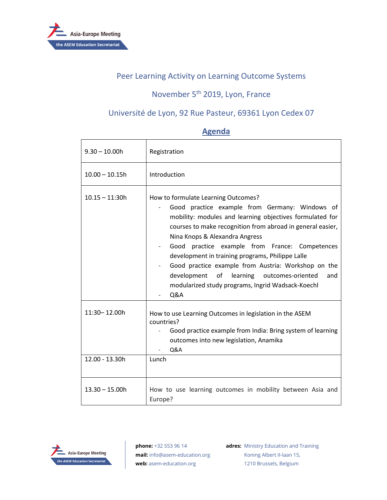

#### Peer Learning Activity on Learning Outcome Systems

# November 5<sup>th</sup> 2019, Lyon, France

## Université de Lyon, 92 Rue Pasteur, 69361 Lyon Cedex 07

## **Agenda**

| $9.30 - 10.00h$  | Registration                                                                                                                                                                                                                                                                                                                                                                                                                                                                                                                                    |
|------------------|-------------------------------------------------------------------------------------------------------------------------------------------------------------------------------------------------------------------------------------------------------------------------------------------------------------------------------------------------------------------------------------------------------------------------------------------------------------------------------------------------------------------------------------------------|
| $10.00 - 10.15h$ | Introduction                                                                                                                                                                                                                                                                                                                                                                                                                                                                                                                                    |
| $10.15 - 11:30h$ | How to formulate Learning Outcomes?<br>Good practice example from Germany: Windows of<br>mobility: modules and learning objectives formulated for<br>courses to make recognition from abroad in general easier,<br>Nina Knops & Alexandra Angress<br>Good practice example from France: Competences<br>development in training programs, Philippe Lalle<br>Good practice example from Austria: Workshop on the<br>of<br>learning outcomes-oriented<br>development<br>and<br>modularized study programs, Ingrid Wadsack-Koechl<br><b>Q&amp;A</b> |
| 11:30-12.00h     | How to use Learning Outcomes in legislation in the ASEM<br>countries?<br>Good practice example from India: Bring system of learning<br>outcomes into new legislation, Anamika<br>Q&A                                                                                                                                                                                                                                                                                                                                                            |
| 12.00 - 13.30h   | Lunch                                                                                                                                                                                                                                                                                                                                                                                                                                                                                                                                           |
| $13.30 - 15.00h$ | How to use learning outcomes in mobility between Asia and<br>Europe?                                                                                                                                                                                                                                                                                                                                                                                                                                                                            |



**phone:** +32 553 96 14 **mail:** info@asem-education.org **web:** asem-education.org